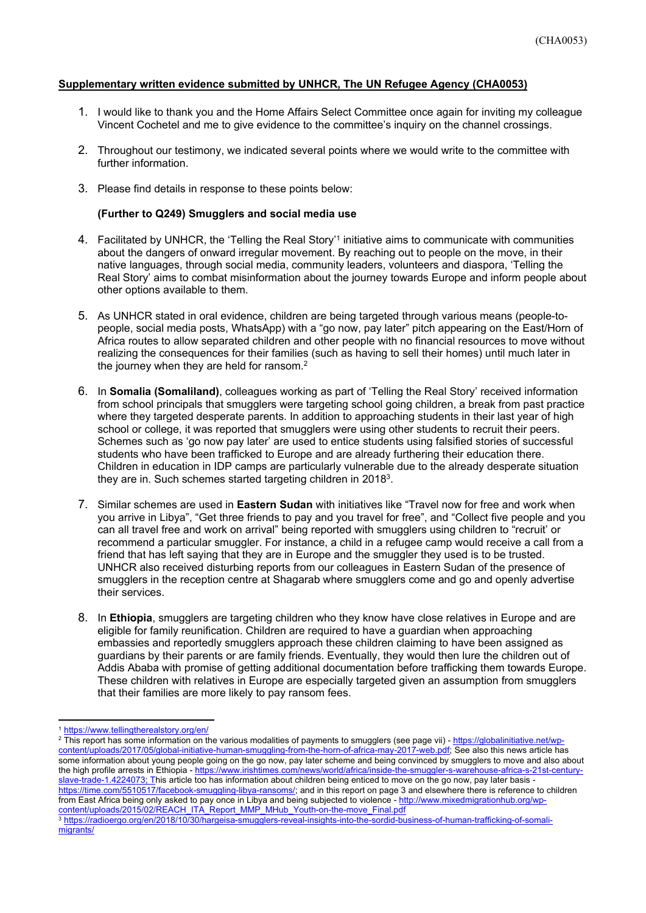## **Supplementary written evidence submitted by UNHCR, The UN Refugee Agency (CHA0053)**

- 1. I would like to thank you and the Home Affairs Select Committee once again for inviting my colleague Vincent Cochetel and me to give evidence to the committee's inquiry on the channel crossings.
- 2. Throughout our testimony, we indicated several points where we would write to the committee with further information.
- 3. Please find details in response to these points below:

## **(Further to Q249) Smugglers and social media use**

- 4. Facilitated by UNHCR, the 'Telling the Real Story'<sup>1</sup> initiative aims to communicate with communities about the dangers of onward irregular movement. By reaching out to people on the move, in their native languages, through social media, community leaders, volunteers and diaspora, 'Telling the Real Story' aims to combat misinformation about the journey towards Europe and inform people about other options available to them.
- 5. As UNHCR stated in oral evidence, children are being targeted through various means (people-topeople, social media posts, WhatsApp) with a "go now, pay later" pitch appearing on the East/Horn of Africa routes to allow separated children and other people with no financial resources to move without realizing the consequences for their families (such as having to sell their homes) until much later in the journey when they are held for ransom.<sup>2</sup>
- 6. In **Somalia (Somaliland)**, colleagues working as part of 'Telling the Real Story' received information from school principals that smugglers were targeting school going children, a break from past practice where they targeted desperate parents. In addition to approaching students in their last year of high school or college, it was reported that smugglers were using other students to recruit their peers. Schemes such as 'go now pay later' are used to entice students using falsified stories of successful students who have been trafficked to Europe and are already furthering their education there. Children in education in IDP camps are particularly vulnerable due to the already desperate situation they are in. Such schemes started targeting children in 2018<sup>3</sup>.
- 7. Similar schemes are used in **Eastern Sudan** with initiatives like "Travel now for free and work when you arrive in Libya", "Get three friends to pay and you travel for free", and "Collect five people and you can all travel free and work on arrival" being reported with smugglers using children to "recruit' or recommend a particular smuggler. For instance, a child in a refugee camp would receive a call from a friend that has left saying that they are in Europe and the smuggler they used is to be trusted. UNHCR also received disturbing reports from our colleagues in Eastern Sudan of the presence of smugglers in the reception centre at Shagarab where smugglers come and go and openly advertise their services.
- 8. In **Ethiopia**, smugglers are targeting children who they know have close relatives in Europe and are eligible for family reunification. Children are required to have a guardian when approaching embassies and reportedly smugglers approach these children claiming to have been assigned as guardians by their parents or are family friends. Eventually, they would then lure the children out of Addis Ababa with promise of getting additional documentation before trafficking them towards Europe. These children with relatives in Europe are especially targeted given an assumption from smugglers that their families are more likely to pay ransom fees.

<sup>2</sup> This report has some information on the various modalities of payments to smugglers (see page vii) - [https://globalinitiative.net/wp](https://globalinitiative.net/wp-content/uploads/2017/05/global-initiative-human-smuggling-from-the-horn-of-africa-may-2017-web.pdf)[content/uploads/2017/05/global-initiative-human-smuggling-from-the-horn-of-africa-may-2017-web.pdf;](https://globalinitiative.net/wp-content/uploads/2017/05/global-initiative-human-smuggling-from-the-horn-of-africa-may-2017-web.pdf) See also this news article has some information about young people going on the go now, pay later scheme and being convinced by smugglers to move and also about the high profile arrests in Ethiopia - [https://www.irishtimes.com/news/world/africa/inside-the-smuggler-s-warehouse-africa-s-21st-century](https://eur02.safelinks.protection.outlook.com/?url=https%3A%2F%2Fwww.irishtimes.com%2Fnews%2Fworld%2Fafrica%2Finside-the-smuggler-s-warehouse-africa-s-21st-century-slave-trade-1.4224073&data=02%7C01%7Ccochetel%40unhcr.org%7C1a795a06b6f840721e0f08d865554803%7Ce5c37981666441348a0c6543d2af80be%7C0%7C0%7C637370764233985086&sdata=zeOPRgQufU%2FX8SQwxHtSkbqBhFflug997tK7UcYCiW0%3D&reserved=0)[slave-trade-1.4224073](https://eur02.safelinks.protection.outlook.com/?url=https%3A%2F%2Fwww.irishtimes.com%2Fnews%2Fworld%2Fafrica%2Finside-the-smuggler-s-warehouse-africa-s-21st-century-slave-trade-1.4224073&data=02%7C01%7Ccochetel%40unhcr.org%7C1a795a06b6f840721e0f08d865554803%7Ce5c37981666441348a0c6543d2af80be%7C0%7C0%7C637370764233985086&sdata=zeOPRgQufU%2FX8SQwxHtSkbqBhFflug997tK7UcYCiW0%3D&reserved=0); This article too has information about children being enticed to move on the go now, pay later basis [https://time.com/5510517/facebook-smuggling-libya-ransoms/](https://eur02.safelinks.protection.outlook.com/?url=https%3A%2F%2Ftime.com%2F5510517%2Ffacebook-smuggling-libya-ransoms%2F&data=02%7C01%7Ccochetel%40unhcr.org%7C1a795a06b6f840721e0f08d865554803%7Ce5c37981666441348a0c6543d2af80be%7C0%7C0%7C637370764233995039&sdata=GZTQ%2BM5y%2BqRj9vQOgeILK98tBmHuS%2BgeNn4DoLqJNOY%3D&reserved=0); and in this report on page 3 and elsewhere there is reference to children from East Africa being only asked to pay once in Libya and being subjected to violence - [http://www.mixedmigrationhub.org/wp](https://eur02.safelinks.protection.outlook.com/?url=http%3A%2F%2Fwww.mixedmigrationhub.org%2Fwp-content%2Fuploads%2F2015%2F02%2FREACH_ITA_Report_MMP_MHub_Youth-on-the-move_Final.pdf&data=02%7C01%7Ccochetel%40unhcr.org%7C1a795a06b6f840721e0f08d865554803%7Ce5c37981666441348a0c6543d2af80be%7C0%7C0%7C637370764233995039&sdata=dNJGzth%2FkmsmbW5ky%2FOrksU1xLTyaFqb%2Bfs4yKMy1FA%3D&reserved=0)[content/uploads/2015/02/REACH\\_ITA\\_Report\\_MMP\\_MHub\\_Youth-on-the-move\\_Final.pdf](https://eur02.safelinks.protection.outlook.com/?url=http%3A%2F%2Fwww.mixedmigrationhub.org%2Fwp-content%2Fuploads%2F2015%2F02%2FREACH_ITA_Report_MMP_MHub_Youth-on-the-move_Final.pdf&data=02%7C01%7Ccochetel%40unhcr.org%7C1a795a06b6f840721e0f08d865554803%7Ce5c37981666441348a0c6543d2af80be%7C0%7C0%7C637370764233995039&sdata=dNJGzth%2FkmsmbW5ky%2FOrksU1xLTyaFqb%2Bfs4yKMy1FA%3D&reserved=0) 

<sup>1</sup> <https://www.tellingtherealstory.org/en/>

<sup>3</sup> [https://radioergo.org/en/2018/10/30/hargeisa-smugglers-reveal-insights-into-the-sordid-business-of-human-trafficking-of-somali](https://radioergo.org/en/2018/10/30/hargeisa-smugglers-reveal-insights-into-the-sordid-business-of-human-trafficking-of-somali-migrants/)[migrants/](https://radioergo.org/en/2018/10/30/hargeisa-smugglers-reveal-insights-into-the-sordid-business-of-human-trafficking-of-somali-migrants/)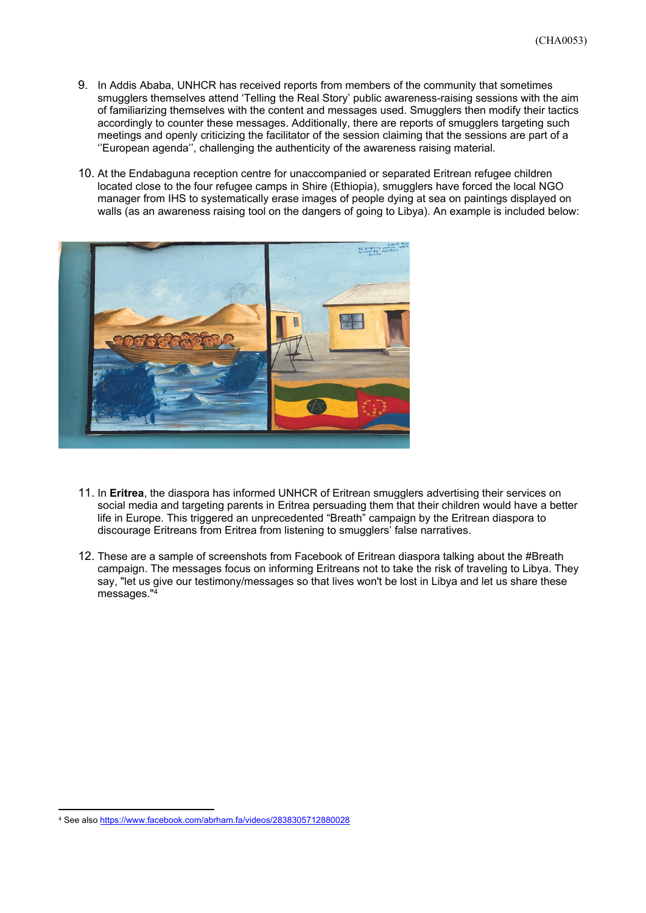- 9. In Addis Ababa, UNHCR has received reports from members of the community that sometimes smugglers themselves attend 'Telling the Real Story' public awareness-raising sessions with the aim of familiarizing themselves with the content and messages used. Smugglers then modify their tactics accordingly to counter these messages. Additionally, there are reports of smugglers targeting such meetings and openly criticizing the facilitator of the session claiming that the sessions are part of a ''European agenda'', challenging the authenticity of the awareness raising material.
- 10. At the Endabaguna reception centre for unaccompanied or separated Eritrean refugee children located close to the four refugee camps in Shire (Ethiopia), smugglers have forced the local NGO manager from IHS to systematically erase images of people dying at sea on paintings displayed on walls (as an awareness raising tool on the dangers of going to Libya). An example is included below:



- 11. In **Eritrea**, the diaspora has informed UNHCR of Eritrean smugglers advertising their services on social media and targeting parents in Eritrea persuading them that their children would have a better life in Europe. This triggered an unprecedented "Breath" campaign by the Eritrean diaspora to discourage Eritreans from Eritrea from listening to smugglers' false narratives.
- 12. These are a sample of screenshots from Facebook of Eritrean diaspora talking about the #Breath campaign. The messages focus on informing Eritreans not to take the risk of traveling to Libya. They say, "let us give our testimony/messages so that lives won't be lost in Libya and let us share these messages."4

<sup>4</sup> See also [https://www.facebook.com/abrham.fa/videos/2838305712880028](https://eur02.safelinks.protection.outlook.com/?url=https%3A%2F%2Fwww.facebook.com%2Fabrham.fa%2Fvideos%2F2838305712880028&data=02%7C01%7Ccochetel%40unhcr.org%7C212ec8ebd121459e43fa08d865592680%7Ce5c37981666441348a0c6543d2af80be%7C0%7C0%7C637370780859663057&sdata=w6vPtmyHY%2BZnnqIrDcCnqh6uyUd4TeJGmIOsZ2TOwss%3D&reserved=0)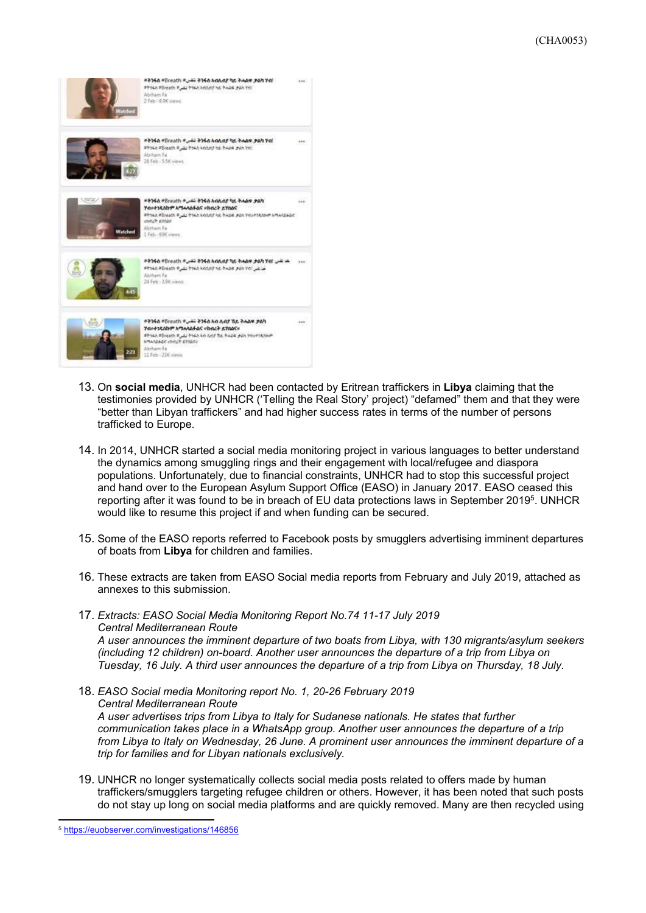

- 13. On **social media**, UNHCR had been contacted by Eritrean traffickers in **Libya** claiming that the testimonies provided by UNHCR ('Telling the Real Story' project) "defamed" them and that they were "better than Libyan traffickers" and had higher success rates in terms of the number of persons trafficked to Europe.
- 14. In 2014, UNHCR started a social media monitoring project in various languages to better understand the dynamics among smuggling rings and their engagement with local/refugee and diaspora populations. Unfortunately, due to financial constraints, UNHCR had to stop this successful project and hand over to the European Asylum Support Office (EASO) in January 2017. EASO ceased this reporting after it was found to be in breach of EU data protections laws in September 2019<sup>5</sup>. UNHCR would like to resume this project if and when funding can be secured.
- 15. Some of the EASO reports referred to Facebook posts by smugglers advertising imminent departures of boats from **Libya** for children and families.
- 16. These extracts are taken from EASO Social media reports from February and July 2019, attached as annexes to this submission.
- 17. *Extracts: EASO Social Media Monitoring Report No.74 11-17 July 2019 Central Mediterranean Route A user announces the imminent departure of two boats from Libya, with 130 migrants/asylum seekers (including 12 children) on-board. Another user announces the departure of a trip from Libya on Tuesday, 16 July. A third user announces the departure of a trip from Libya on Thursday, 18 July.*
- 18. *EASO Social media Monitoring report No. 1, 20-26 February 2019 Central Mediterranean Route A user advertises trips from Libya to Italy for Sudanese nationals. He states that further communication takes place in a WhatsApp group. Another user announces the departure of a trip from Libya to Italy on Wednesday, 26 June. A prominent user announces the imminent departure of a trip for families and for Libyan nationals exclusively.*
- 19. UNHCR no longer systematically collects social media posts related to offers made by human traffickers/smugglers targeting refugee children or others. However, it has been noted that such posts do not stay up long on social media platforms and are quickly removed. Many are then recycled using

<sup>5</sup> <https://euobserver.com/investigations/146856>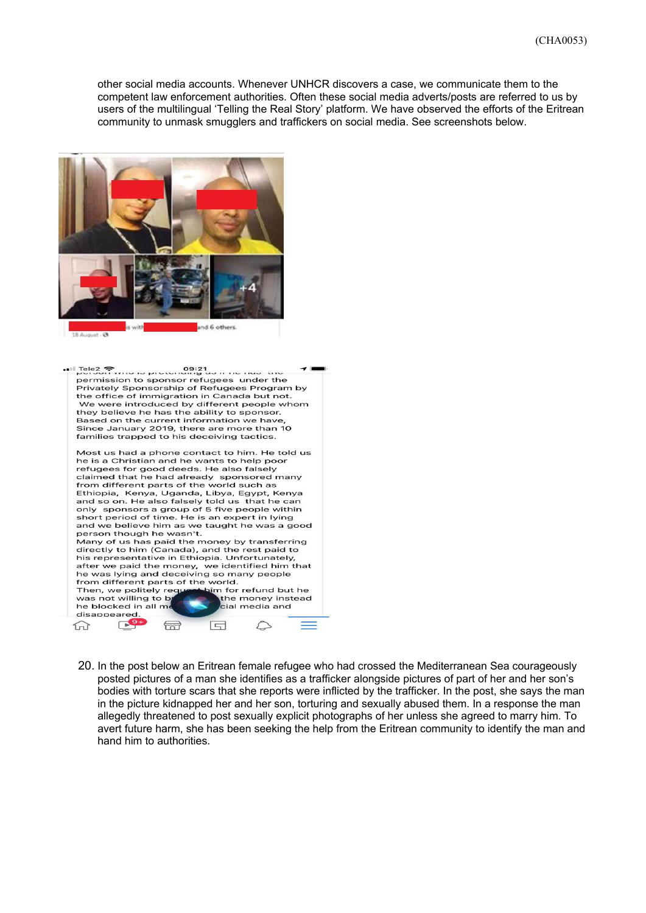other social media accounts. Whenever UNHCR discovers a case, we communicate them to the competent law enforcement authorities. Often these social media adverts/posts are referred to us by users of the multilingual 'Telling the Real Story' platform. We have observed the efforts of the Eritrean community to unmask smugglers and traffickers on social media. See screenshots below.





20. In the post below an Eritrean female refugee who had crossed the Mediterranean Sea courageously posted pictures of a man she identifies as a trafficker alongside pictures of part of her and her son's bodies with torture scars that she reports were inflicted by the trafficker. In the post, she says the man in the picture kidnapped her and her son, torturing and sexually abused them. In a response the man allegedly threatened to post sexually explicit photographs of her unless she agreed to marry him. To avert future harm, she has been seeking the help from the Eritrean community to identify the man and hand him to authorities.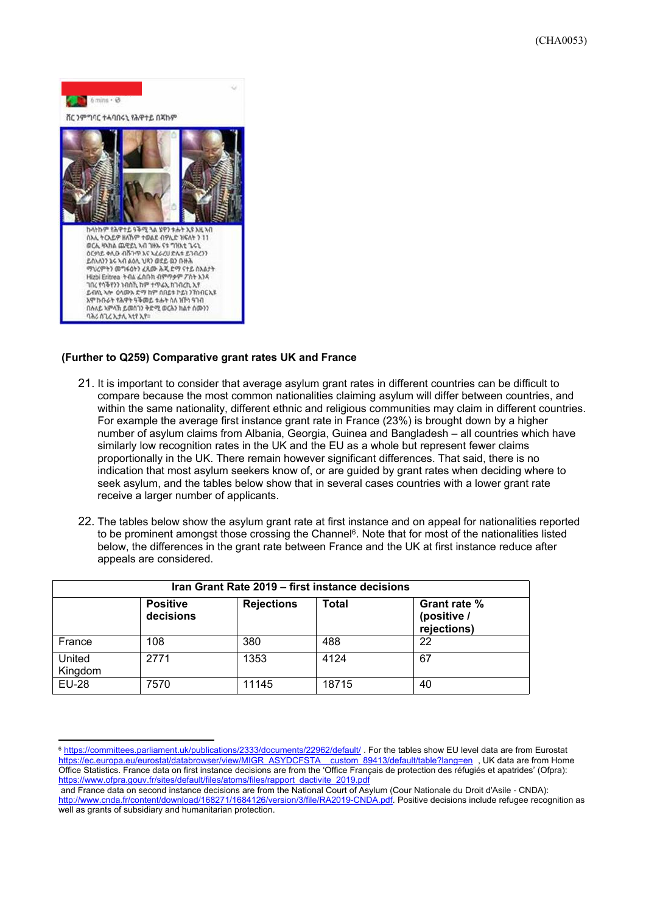

## **(Further to Q259) Comparative grant rates UK and France**

- 21. It is important to consider that average asylum grant rates in different countries can be difficult to compare because the most common nationalities claiming asylum will differ between countries, and within the same nationality, different ethnic and religious communities may claim in different countries. For example the average first instance grant rate in France (23%) is brought down by a higher number of asylum claims from Albania, Georgia, Guinea and Bangladesh – all countries which have similarly low recognition rates in the UK and the EU as a whole but represent fewer claims proportionally in the UK. There remain however significant differences. That said, there is no indication that most asylum seekers know of, or are guided by grant rates when deciding where to seek asylum, and the tables below show that in several cases countries with a lower grant rate receive a larger number of applicants.
- 22. The tables below show the asylum grant rate at first instance and on appeal for nationalities reported to be prominent amongst those crossing the Channel<sup>6</sup>. Note that for most of the nationalities listed below, the differences in the grant rate between France and the UK at first instance reduce after appeals are considered.

| Iran Grant Rate 2019 - first instance decisions |                              |                   |              |                                            |  |
|-------------------------------------------------|------------------------------|-------------------|--------------|--------------------------------------------|--|
|                                                 | <b>Positive</b><br>decisions | <b>Rejections</b> | <b>Total</b> | Grant rate %<br>(positive /<br>rejections) |  |
| France                                          | 108                          | 380               | 488          | 22                                         |  |
| United<br>Kingdom                               | 2771                         | 1353              | 4124         | 67                                         |  |
| <b>EU-28</b>                                    | 7570                         | 11145             | 18715        | 40                                         |  |

<sup>&</sup>lt;sup>6</sup> <https://committees.parliament.uk/publications/2333/documents/22962/default/> . For the tables show EU level data are from Eurostat [https://ec.europa.eu/eurostat/databrowser/view/MIGR\\_ASYDCFSTA\\_\\_custom\\_89413/default/table?lang=en](https://ec.europa.eu/eurostat/databrowser/view/MIGR_ASYDCFSTA__custom_89413/default/table?lang=en) , UK data are from Home Office Statistics. France data on first instance decisions are from the 'Office Français de protection des réfugiés et apatrides' (Ofpra): [https://www.ofpra.gouv.fr/sites/default/files/atoms/files/rapport\\_dactivite\\_2019.pdf](https://www.ofpra.gouv.fr/sites/default/files/atoms/files/rapport_dactivite_2019.pdf)

and France data on second instance decisions are from the National Court of Asylum (Cour Nationale du Droit d'Asile - CNDA): [http://www.cnda.fr/content/download/168271/1684126/version/3/file/RA2019-CNDA.pdf.](https://eur02.safelinks.protection.outlook.com/?url=http%3A%2F%2Fwww.cnda.fr%2Fcontent%2Fdownload%2F168271%2F1684126%2Fversion%2F3%2Ffile%2FRA2019-CNDA.pdf&data=02%7C01%7Cmcclemax%40unhcr.org%7Cf77c81eb8df3406030f408d866dbdfa1%7Ce5c37981666441348a0c6543d2af80be%7C0%7C0%7C637372442699291073&sdata=KDzDGLxvDo8NS7uPP%2F6IxwYhOljPJeRriEVZbRhwJOk%3D&reserved=0) Positive decisions include refugee recognition as well as grants of subsidiary and humanitarian protection.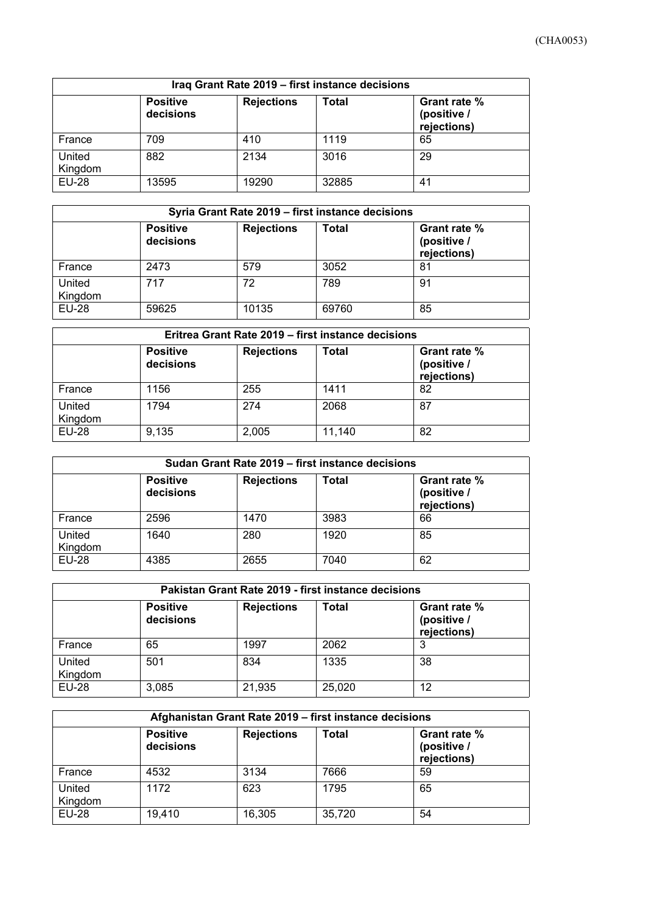| Iraq Grant Rate 2019 - first instance decisions |                                            |       |       |    |  |
|-------------------------------------------------|--------------------------------------------|-------|-------|----|--|
|                                                 | Grant rate %<br>(positive /<br>rejections) |       |       |    |  |
| France                                          | 709                                        | 410   | 1119  | 65 |  |
| United<br>Kingdom                               | 882                                        | 2134  | 3016  | 29 |  |
| <b>EU-28</b>                                    | 13595                                      | 19290 | 32885 | 41 |  |

| Syria Grant Rate 2019 – first instance decisions |                              |                   |       |                                            |  |
|--------------------------------------------------|------------------------------|-------------------|-------|--------------------------------------------|--|
|                                                  | <b>Positive</b><br>decisions | <b>Rejections</b> | Total | Grant rate %<br>(positive /<br>rejections) |  |
| France                                           | 2473                         | 579               | 3052  | 81                                         |  |
| United<br>Kingdom                                | 717                          | 72                | 789   | 91                                         |  |
| <b>EU-28</b>                                     | 59625                        | 10135             | 69760 | 85                                         |  |

| Eritrea Grant Rate 2019 – first instance decisions |                              |                   |        |                                            |  |
|----------------------------------------------------|------------------------------|-------------------|--------|--------------------------------------------|--|
|                                                    | <b>Positive</b><br>decisions | <b>Rejections</b> | Total  | Grant rate %<br>(positive /<br>rejections) |  |
| France                                             | 1156                         | 255               | 1411   | 82                                         |  |
| United<br>Kingdom                                  | 1794                         | 274               | 2068   | 87                                         |  |
| <b>EU-28</b>                                       | 9.135                        | 2,005             | 11,140 | 82                                         |  |

| Sudan Grant Rate 2019 - first instance decisions |                              |                   |              |                                            |  |
|--------------------------------------------------|------------------------------|-------------------|--------------|--------------------------------------------|--|
|                                                  | <b>Positive</b><br>decisions | <b>Rejections</b> | <b>Total</b> | Grant rate %<br>(positive /<br>rejections) |  |
| France                                           | 2596                         | 1470              | 3983         | 66                                         |  |
| United<br>Kingdom                                | 1640                         | 280               | 1920         | 85                                         |  |
| <b>EU-28</b>                                     | 4385                         | 2655              | 7040         | 62                                         |  |

| Pakistan Grant Rate 2019 - first instance decisions |                              |                   |        |                                            |  |
|-----------------------------------------------------|------------------------------|-------------------|--------|--------------------------------------------|--|
|                                                     | <b>Positive</b><br>decisions | <b>Rejections</b> | Total  | Grant rate %<br>(positive /<br>rejections) |  |
| France                                              | 65                           | 1997              | 2062   | 3                                          |  |
| United<br>Kingdom                                   | 501                          | 834               | 1335   | 38                                         |  |
| <b>EU-28</b>                                        | 3,085                        | 21,935            | 25,020 | 12                                         |  |

| Afghanistan Grant Rate 2019 - first instance decisions |                              |                   |        |                                            |  |
|--------------------------------------------------------|------------------------------|-------------------|--------|--------------------------------------------|--|
|                                                        | <b>Positive</b><br>decisions | <b>Rejections</b> | Total  | Grant rate %<br>(positive /<br>rejections) |  |
| France                                                 | 4532                         | 3134              | 7666   | 59                                         |  |
| United<br>Kingdom                                      | 1172                         | 623               | 1795   | 65                                         |  |
| <b>EU-28</b>                                           | 19,410                       | 16,305            | 35,720 | 54                                         |  |